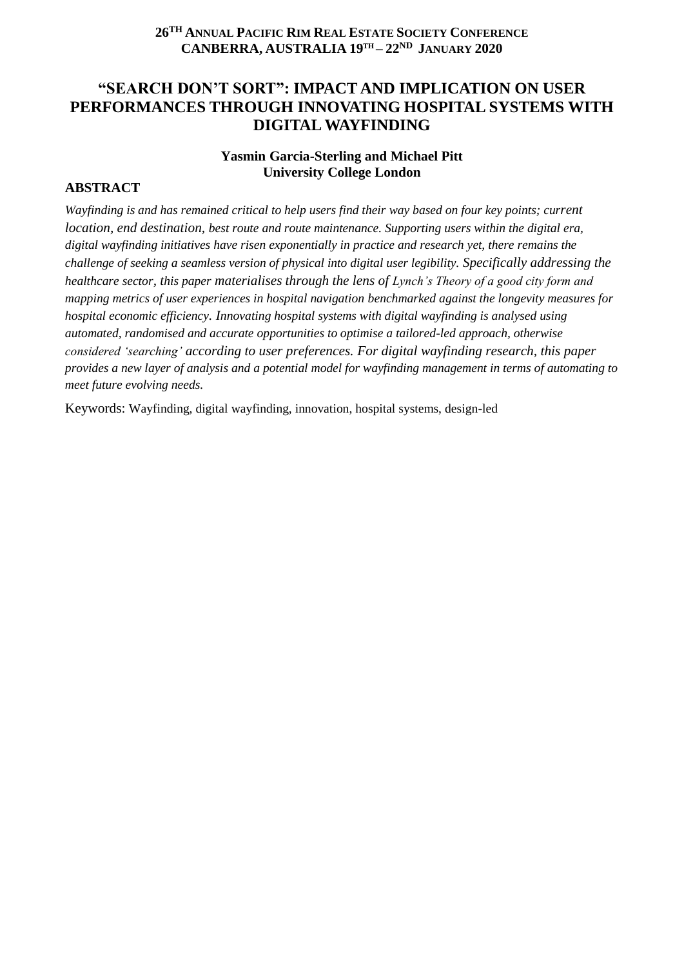## **26 TH ANNUAL PACIFIC RIM REAL ESTATE SOCIETY CONFERENCE CANBERRA, AUSTRALIA 19TH – 22ND JANUARY 2020**

# **"SEARCH DON'T SORT": IMPACT AND IMPLICATION ON USER PERFORMANCES THROUGH INNOVATING HOSPITAL SYSTEMS WITH DIGITAL WAYFINDING**

## **Yasmin Garcia-Sterling and Michael Pitt University College London**

### **ABSTRACT**

*Wayfinding is and has remained critical to help users find their way based on four key points; current location, end destination, best route and route maintenance. Supporting users within the digital era, digital wayfinding initiatives have risen exponentially in practice and research yet, there remains the challenge of seeking a seamless version of physical into digital user legibility. Specifically addressing the healthcare sector, this paper materialises through the lens of Lynch's Theory of a good city form and mapping metrics of user experiences in hospital navigation benchmarked against the longevity measures for hospital economic efficiency. Innovating hospital systems with digital wayfinding is analysed using automated, randomised and accurate opportunities to optimise a tailored-led approach, otherwise considered 'searching' according to user preferences. For digital wayfinding research, this paper provides a new layer of analysis and a potential model for wayfinding management in terms of automating to meet future evolving needs.*

Keywords: Wayfinding, digital wayfinding, innovation, hospital systems, design-led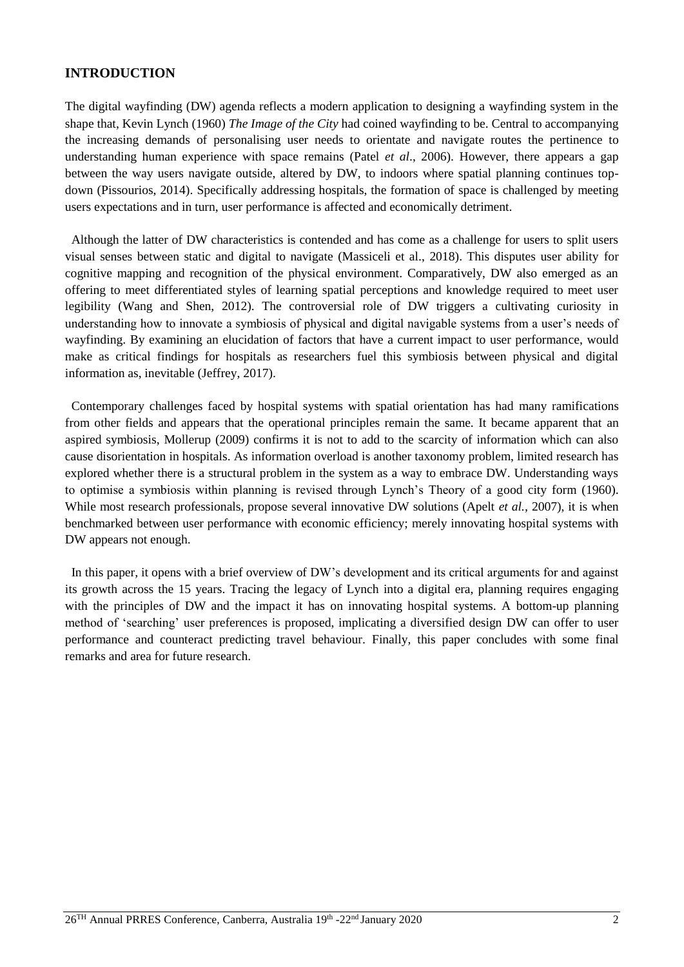## **INTRODUCTION**

The digital wayfinding (DW) agenda reflects a modern application to designing a wayfinding system in the shape that, Kevin Lynch (1960) *The Image of the City* had coined wayfinding to be. Central to accompanying the increasing demands of personalising user needs to orientate and navigate routes the pertinence to understanding human experience with space remains (Patel *et al*., 2006). However, there appears a gap between the way users navigate outside, altered by DW, to indoors where spatial planning continues topdown (Pissourios, 2014). Specifically addressing hospitals, the formation of space is challenged by meeting users expectations and in turn, user performance is affected and economically detriment.

 Although the latter of DW characteristics is contended and has come as a challenge for users to split users visual senses between static and digital to navigate (Massiceli et al., 2018). This disputes user ability for cognitive mapping and recognition of the physical environment. Comparatively, DW also emerged as an offering to meet differentiated styles of learning spatial perceptions and knowledge required to meet user legibility (Wang and Shen, 2012). The controversial role of DW triggers a cultivating curiosity in understanding how to innovate a symbiosis of physical and digital navigable systems from a user's needs of wayfinding. By examining an elucidation of factors that have a current impact to user performance, would make as critical findings for hospitals as researchers fuel this symbiosis between physical and digital information as, inevitable (Jeffrey, 2017).

 Contemporary challenges faced by hospital systems with spatial orientation has had many ramifications from other fields and appears that the operational principles remain the same. It became apparent that an aspired symbiosis, Mollerup (2009) confirms it is not to add to the scarcity of information which can also cause disorientation in hospitals. As information overload is another taxonomy problem, limited research has explored whether there is a structural problem in the system as a way to embrace DW. Understanding ways to optimise a symbiosis within planning is revised through Lynch's Theory of a good city form (1960). While most research professionals, propose several innovative DW solutions (Apelt *et al.,* 2007), it is when benchmarked between user performance with economic efficiency; merely innovating hospital systems with DW appears not enough.

 In this paper, it opens with a brief overview of DW's development and its critical arguments for and against its growth across the 15 years. Tracing the legacy of Lynch into a digital era, planning requires engaging with the principles of DW and the impact it has on innovating hospital systems. A bottom-up planning method of 'searching' user preferences is proposed, implicating a diversified design DW can offer to user performance and counteract predicting travel behaviour. Finally, this paper concludes with some final remarks and area for future research.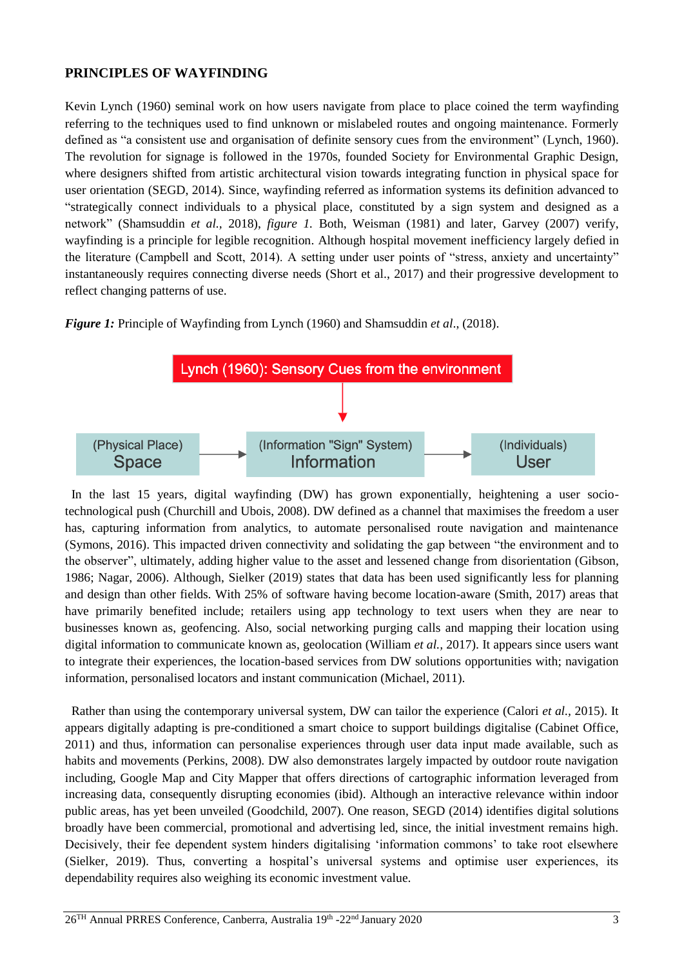## **PRINCIPLES OF WAYFINDING**

Kevin Lynch (1960) seminal work on how users navigate from place to place coined the term wayfinding referring to the techniques used to find unknown or mislabeled routes and ongoing maintenance. Formerly defined as "a consistent use and organisation of definite sensory cues from the environment" (Lynch, 1960). The revolution for signage is followed in the 1970s, founded Society for Environmental Graphic Design, where designers shifted from artistic architectural vision towards integrating function in physical space for user orientation (SEGD, 2014). Since, wayfinding referred as information systems its definition advanced to "strategically connect individuals to a physical place, constituted by a sign system and designed as a network" (Shamsuddin *et al.,* 2018), *figure 1.* Both, Weisman (1981) and later, Garvey (2007) verify, wayfinding is a principle for legible recognition. Although hospital movement inefficiency largely defied in the literature (Campbell and Scott, 2014). A setting under user points of "stress, anxiety and uncertainty" instantaneously requires connecting diverse needs (Short et al., 2017) and their progressive development to reflect changing patterns of use.

*Figure 1:* Principle of Wayfinding from Lynch (1960) and Shamsuddin *et al*., (2018).



 In the last 15 years, digital wayfinding (DW) has grown exponentially, heightening a user sociotechnological push (Churchill and Ubois, 2008). DW defined as a channel that maximises the freedom a user has, capturing information from analytics, to automate personalised route navigation and maintenance (Symons, 2016). This impacted driven connectivity and solidating the gap between "the environment and to the observer", ultimately, adding higher value to the asset and lessened change from disorientation (Gibson, 1986; Nagar, 2006). Although, Sielker (2019) states that data has been used significantly less for planning and design than other fields. With 25% of software having become location-aware (Smith, 2017) areas that have primarily benefited include; retailers using app technology to text users when they are near to businesses known as, geofencing. Also, social networking purging calls and mapping their location using digital information to communicate known as, geolocation (William *et al.,* 2017). It appears since users want to integrate their experiences, the location-based services from DW solutions opportunities with; navigation information, personalised locators and instant communication (Michael, 2011).

 Rather than using the contemporary universal system, DW can tailor the experience (Calori *et al.,* 2015). It appears digitally adapting is pre-conditioned a smart choice to support buildings digitalise (Cabinet Office, 2011) and thus, information can personalise experiences through user data input made available, such as habits and movements (Perkins, 2008). DW also demonstrates largely impacted by outdoor route navigation including, Google Map and City Mapper that offers directions of cartographic information leveraged from increasing data, consequently disrupting economies (ibid). Although an interactive relevance within indoor public areas, has yet been unveiled (Goodchild, 2007). One reason, SEGD (2014) identifies digital solutions broadly have been commercial, promotional and advertising led, since, the initial investment remains high. Decisively, their fee dependent system hinders digitalising 'information commons' to take root elsewhere (Sielker, 2019). Thus, converting a hospital's universal systems and optimise user experiences, its dependability requires also weighing its economic investment value.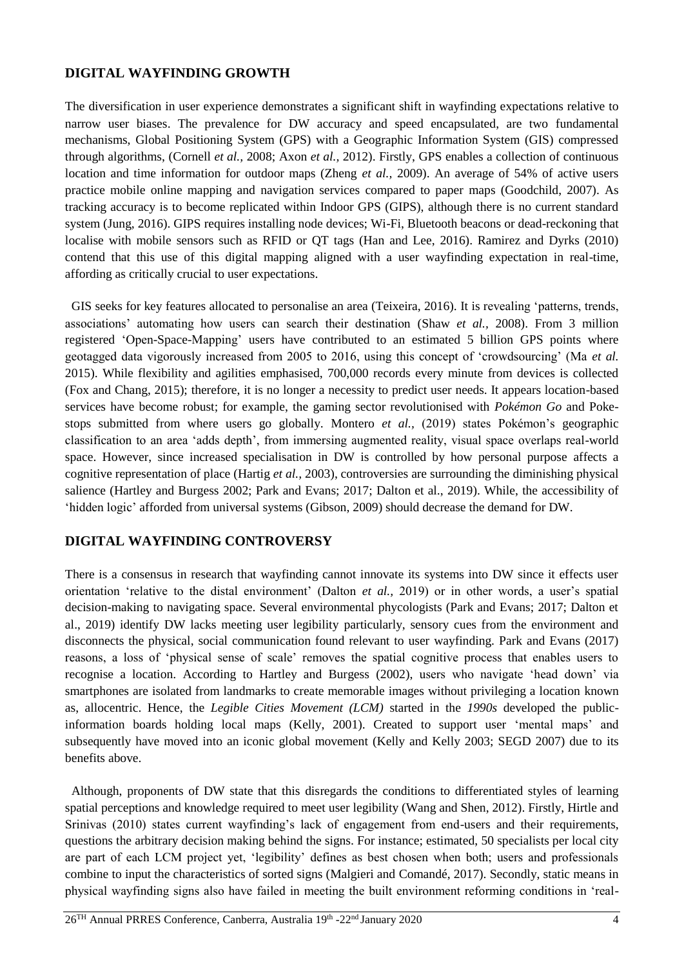## **DIGITAL WAYFINDING GROWTH**

The diversification in user experience demonstrates a significant shift in wayfinding expectations relative to narrow user biases. The prevalence for DW accuracy and speed encapsulated, are two fundamental mechanisms, Global Positioning System (GPS) with a Geographic Information System (GIS) compressed through algorithms, (Cornell *et al.,* 2008; Axon *et al.,* 2012). Firstly, GPS enables a collection of continuous location and time information for outdoor maps (Zheng *et al.,* 2009). An average of 54% of active users practice mobile online mapping and navigation services compared to paper maps (Goodchild, 2007). As tracking accuracy is to become replicated within Indoor GPS (GIPS), although there is no current standard system (Jung, 2016). GIPS requires installing node devices; Wi-Fi, Bluetooth beacons or dead-reckoning that localise with mobile sensors such as RFID or QT tags (Han and Lee, 2016). Ramirez and Dyrks (2010) contend that this use of this digital mapping aligned with a user wayfinding expectation in real-time, affording as critically crucial to user expectations.

 GIS seeks for key features allocated to personalise an area (Teixeira, 2016). It is revealing 'patterns, trends, associations' automating how users can search their destination (Shaw *et al.,* 2008). From 3 million registered 'Open-Space-Mapping' users have contributed to an estimated 5 billion GPS points where geotagged data vigorously increased from 2005 to 2016, using this concept of 'crowdsourcing' (Ma *et al.* 2015). While flexibility and agilities emphasised, 700,000 records every minute from devices is collected (Fox and Chang, 2015); therefore, it is no longer a necessity to predict user needs. It appears location-based services have become robust; for example, the gaming sector revolutionised with *Pokémon Go* and Pokestops submitted from where users go globally. Montero *et al.,* (2019) states Pokémon's geographic classification to an area 'adds depth', from immersing augmented reality, visual space overlaps real-world space. However, since increased specialisation in DW is controlled by how personal purpose affects a cognitive representation of place (Hartig *et al.,* 2003), controversies are surrounding the diminishing physical salience (Hartley and Burgess 2002; Park and Evans; 2017; Dalton et al., 2019). While, the accessibility of 'hidden logic' afforded from universal systems (Gibson, 2009) should decrease the demand for DW.

# **DIGITAL WAYFINDING CONTROVERSY**

There is a consensus in research that wayfinding cannot innovate its systems into DW since it effects user orientation 'relative to the distal environment' (Dalton *et al.,* 2019) or in other words, a user's spatial decision-making to navigating space. Several environmental phycologists (Park and Evans; 2017; Dalton et al., 2019) identify DW lacks meeting user legibility particularly, sensory cues from the environment and disconnects the physical, social communication found relevant to user wayfinding. Park and Evans (2017) reasons, a loss of 'physical sense of scale' removes the spatial cognitive process that enables users to recognise a location. According to Hartley and Burgess (2002), users who navigate 'head down' via smartphones are isolated from landmarks to create memorable images without privileging a location known as, allocentric. Hence, the *Legible Cities Movement (LCM)* started in the *1990s* developed the publicinformation boards holding local maps (Kelly, 2001). Created to support user 'mental maps' and subsequently have moved into an iconic global movement (Kelly and Kelly 2003; SEGD 2007) due to its benefits above.

 Although, proponents of DW state that this disregards the conditions to differentiated styles of learning spatial perceptions and knowledge required to meet user legibility (Wang and Shen, 2012). Firstly, Hirtle and Srinivas (2010) states current wayfinding's lack of engagement from end-users and their requirements, questions the arbitrary decision making behind the signs. For instance; estimated, 50 specialists per local city are part of each LCM project yet, 'legibility' defines as best chosen when both; users and professionals combine to input the characteristics of sorted signs (Malgieri and [Comandé,](javascript:;) 2017). Secondly, static means in physical wayfinding signs also have failed in meeting the built environment reforming conditions in 'real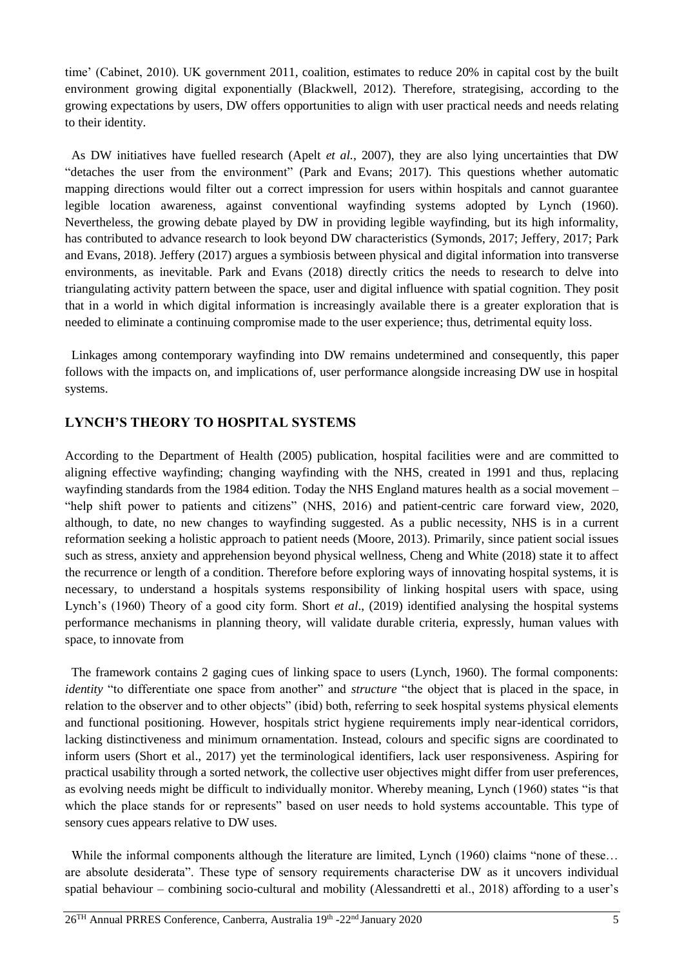time' (Cabinet, 2010). UK government 2011, coalition, estimates to reduce 20% in capital cost by the built environment growing digital exponentially (Blackwell, 2012). Therefore, strategising, according to the growing expectations by users, DW offers opportunities to align with user practical needs and needs relating to their identity.

 As DW initiatives have fuelled research (Apelt *et al.,* 2007), they are also lying uncertainties that DW "detaches the user from the environment" (Park and Evans; 2017). This questions whether automatic mapping directions would filter out a correct impression for users within hospitals and cannot guarantee legible location awareness, against conventional wayfinding systems adopted by Lynch (1960). Nevertheless, the growing debate played by DW in providing legible wayfinding, but its high informality, has contributed to advance research to look beyond DW characteristics (Symonds, 2017; Jeffery, 2017; Park and Evans, 2018). Jeffery (2017) argues a symbiosis between physical and digital information into transverse environments, as inevitable. Park and Evans (2018) directly critics the needs to research to delve into triangulating activity pattern between the space, user and digital influence with spatial cognition. They posit that in a world in which digital information is increasingly available there is a greater exploration that is needed to eliminate a continuing compromise made to the user experience; thus, detrimental equity loss.

 Linkages among contemporary wayfinding into DW remains undetermined and consequently, this paper follows with the impacts on, and implications of, user performance alongside increasing DW use in hospital systems.

## **LYNCH'S THEORY TO HOSPITAL SYSTEMS**

According to the Department of Health (2005) publication, hospital facilities were and are committed to aligning effective wayfinding; changing wayfinding with the NHS, created in 1991 and thus, replacing wayfinding standards from the 1984 edition. Today the NHS England matures health as a social movement – "help shift power to patients and citizens" (NHS, 2016) and patient-centric care forward view, 2020, although, to date, no new changes to wayfinding suggested. As a public necessity, NHS is in a current reformation seeking a holistic approach to patient needs (Moore, 2013). Primarily, since patient social issues such as stress, anxiety and apprehension beyond physical wellness, Cheng and White (2018) state it to affect the recurrence or length of a condition. Therefore before exploring ways of innovating hospital systems, it is necessary, to understand a hospitals systems responsibility of linking hospital users with space, using Lynch's (1960) Theory of a good city form. Short *et al*., (2019) identified analysing the hospital systems performance mechanisms in planning theory, will validate durable criteria, expressly, human values with space, to innovate from

 The framework contains 2 gaging cues of linking space to users (Lynch, 1960). The formal components: *identity* "to differentiate one space from another" and *structure* "the object that is placed in the space, in relation to the observer and to other objects" (ibid) both, referring to seek hospital systems physical elements and functional positioning. However, hospitals strict hygiene requirements imply near-identical corridors, lacking distinctiveness and minimum ornamentation. Instead, colours and specific signs are coordinated to inform users (Short et al., 2017) yet the terminological identifiers, lack user responsiveness. Aspiring for practical usability through a sorted network, the collective user objectives might differ from user preferences, as evolving needs might be difficult to individually monitor. Whereby meaning, Lynch (1960) states "is that which the place stands for or represents" based on user needs to hold systems accountable. This type of sensory cues appears relative to DW uses.

While the informal components although the literature are limited, Lynch (1960) claims "none of these... are absolute desiderata". These type of sensory requirements characterise DW as it uncovers individual spatial behaviour – combining socio-cultural and mobility (Alessandretti et al., 2018) affording to a user's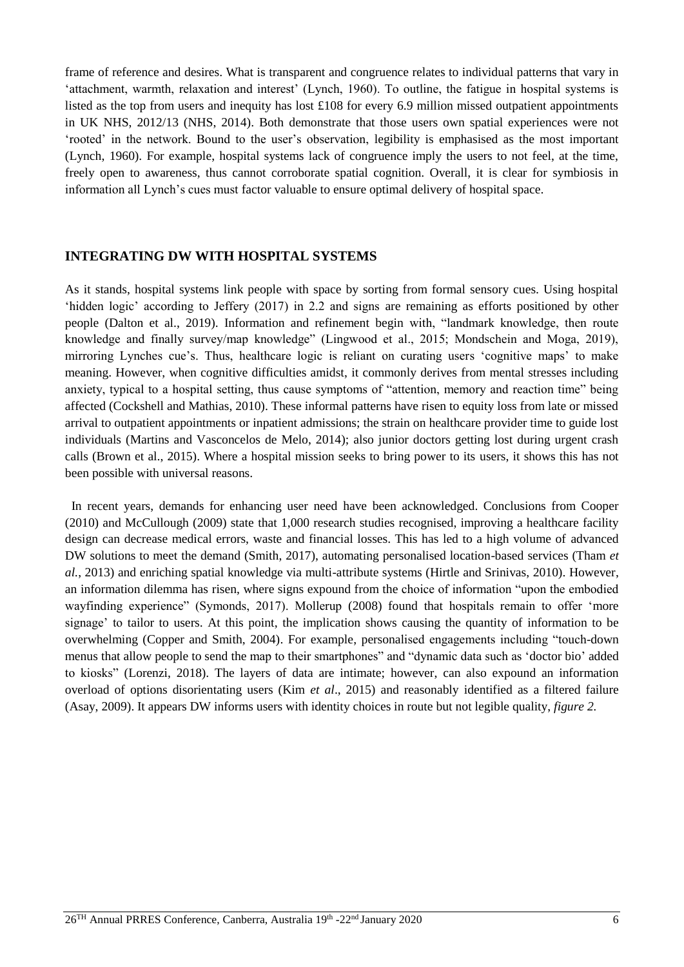frame of reference and desires. What is transparent and congruence relates to individual patterns that vary in 'attachment, warmth, relaxation and interest' (Lynch, 1960). To outline, the fatigue in hospital systems is listed as the top from users and inequity has lost £108 for every 6.9 million missed outpatient appointments in UK NHS, 2012/13 (NHS, 2014). Both demonstrate that those users own spatial experiences were not 'rooted' in the network. Bound to the user's observation, legibility is emphasised as the most important (Lynch, 1960). For example, hospital systems lack of congruence imply the users to not feel, at the time, freely open to awareness, thus cannot corroborate spatial cognition. Overall, it is clear for symbiosis in information all Lynch's cues must factor valuable to ensure optimal delivery of hospital space.

#### **INTEGRATING DW WITH HOSPITAL SYSTEMS**

As it stands, hospital systems link people with space by sorting from formal sensory cues. Using hospital 'hidden logic' according to Jeffery (2017) in 2.2 and signs are remaining as efforts positioned by other people (Dalton et al., 2019). Information and refinement begin with, "landmark knowledge, then route knowledge and finally survey/map knowledge" (Lingwood et al., 2015; Mondschein and Moga, 2019), mirroring Lynches cue's. Thus, healthcare logic is reliant on curating users 'cognitive maps' to make meaning. However, when cognitive difficulties amidst, it commonly derives from mental stresses including anxiety, typical to a hospital setting, thus cause symptoms of "attention, memory and reaction time" being affected (Cockshell and Mathias, 2010). These informal patterns have risen to equity loss from late or missed arrival to outpatient appointments or inpatient admissions; the strain on healthcare provider time to guide lost individuals (Martins and Vasconcelos de Melo, 2014); also junior doctors getting lost during urgent crash calls (Brown et al., 2015). Where a hospital mission seeks to bring power to its users, it shows this has not been possible with universal reasons.

 In recent years, demands for enhancing user need have been acknowledged. Conclusions from Cooper (2010) and McCullough (2009) state that 1,000 research studies recognised, improving a healthcare facility design can decrease medical errors, waste and financial losses. This has led to a high volume of advanced DW solutions to meet the demand (Smith, 2017), automating personalised location-based services (Tham *et al.*, 2013) and enriching spatial knowledge via multi-attribute systems (Hirtle and Srinivas, 2010). However, an information dilemma has risen, where signs expound from the choice of information "upon the embodied wayfinding experience" (Symonds, 2017). Mollerup (2008) found that hospitals remain to offer 'more signage' to tailor to users. At this point, the implication shows causing the quantity of information to be overwhelming (Copper and Smith, 2004). For example, personalised engagements including "touch-down menus that allow people to send the map to their smartphones" and "dynamic data such as 'doctor bio' added to kiosks" (Lorenzi, 2018). The layers of data are intimate; however, can also expound an information overload of options disorientating users (Kim *et al*., 2015) and reasonably identified as a filtered failure (Asay, 2009). It appears DW informs users with identity choices in route but not legible quality, *figure 2.*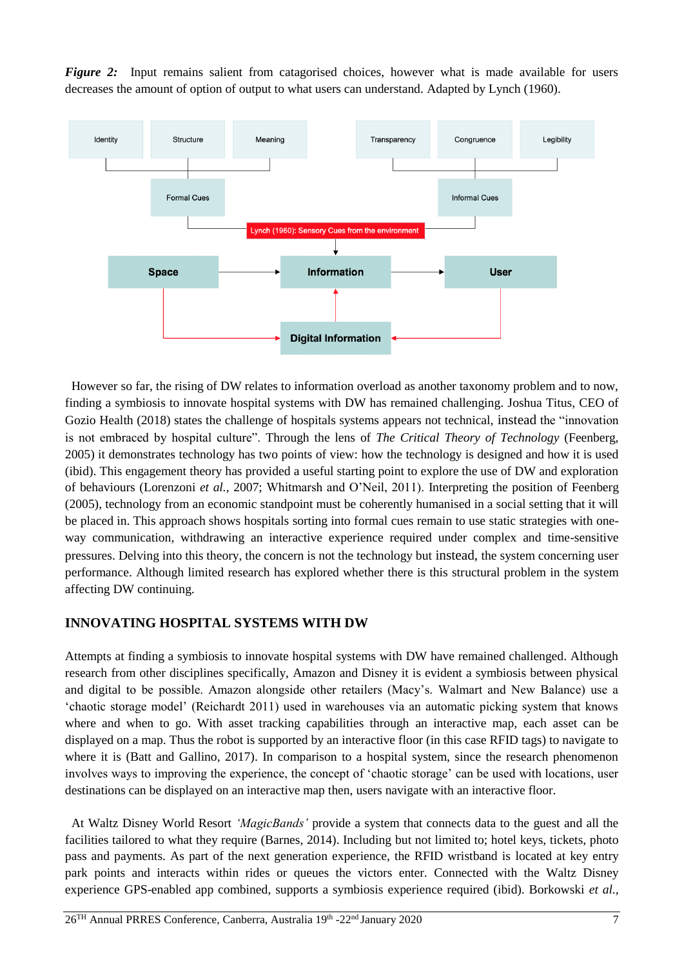*Figure 2:* Input remains salient from catagorised choices, however what is made available for users decreases the amount of option of output to what users can understand. Adapted by Lynch (1960).



 However so far, the rising of DW relates to information overload as another taxonomy problem and to now, finding a symbiosis to innovate hospital systems with DW has remained challenging. Joshua Titus, CEO of Gozio Health (2018) states the challenge of hospitals systems appears not technical, instead the "innovation is not embraced by hospital culture". Through the lens of *The Critical Theory of Technology* (Feenberg, 2005) it demonstrates technology has two points of view: how the technology is designed and how it is used (ibid). This engagement theory has provided a useful starting point to explore the use of DW and exploration of behaviours (Lorenzoni *et al.,* 2007; Whitmarsh and O'Neil, 2011). Interpreting the position of Feenberg (2005), technology from an economic standpoint must be coherently humanised in a social setting that it will be placed in. This approach shows hospitals sorting into formal cues remain to use static strategies with oneway communication, withdrawing an interactive experience required under complex and time-sensitive pressures. Delving into this theory, the concern is not the technology but instead, the system concerning user performance. Although limited research has explored whether there is this structural problem in the system affecting DW continuing.

## **INNOVATING HOSPITAL SYSTEMS WITH DW**

Attempts at finding a symbiosis to innovate hospital systems with DW have remained challenged. Although research from other disciplines specifically, Amazon and Disney it is evident a symbiosis between physical and digital to be possible. Amazon alongside other retailers (Macy's. Walmart and New Balance) use a 'chaotic storage model' (Reichardt 2011) used in warehouses via an automatic picking system that knows where and when to go. With asset tracking capabilities through an interactive map, each asset can be displayed on a map. Thus the robot is supported by an interactive floor (in this case RFID tags) to navigate to where it is (Batt and Gallino, 2017). In comparison to a hospital system, since the research phenomenon involves ways to improving the experience, the concept of 'chaotic storage' can be used with locations, user destinations can be displayed on an interactive map then, users navigate with an interactive floor.

 At Waltz Disney World Resort *'MagicBands'* provide a system that connects data to the guest and all the facilities tailored to what they require (Barnes, 2014). Including but not limited to; hotel keys, tickets, photo pass and payments. As part of the next generation experience, the RFID wristband is located at key entry park points and interacts within rides or queues the victors enter. Connected with the Waltz Disney experience GPS-enabled app combined, supports a symbiosis experience required (ibid). Borkowski *et al.,*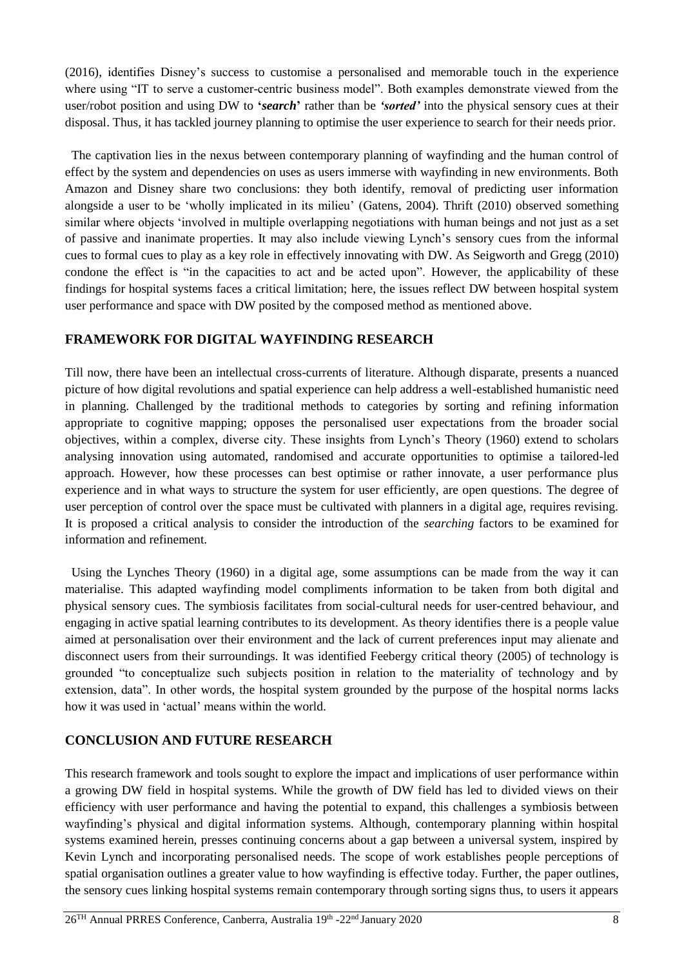(2016), identifies Disney's success to customise a personalised and memorable touch in the experience where using "IT to serve a customer-centric business model". Both examples demonstrate viewed from the user/robot position and using DW to **'***search***'** rather than be *'sorted'* into the physical sensory cues at their disposal. Thus, it has tackled journey planning to optimise the user experience to search for their needs prior.

 The captivation lies in the nexus between contemporary planning of wayfinding and the human control of effect by the system and dependencies on uses as users immerse with wayfinding in new environments. Both Amazon and Disney share two conclusions: they both identify, removal of predicting user information alongside a user to be 'wholly implicated in its milieu' (Gatens, 2004). Thrift (2010) observed something similar where objects 'involved in multiple overlapping negotiations with human beings and not just as a set of passive and inanimate properties. It may also include viewing Lynch's sensory cues from the informal cues to formal cues to play as a key role in effectively innovating with DW. As Seigworth and Gregg (2010) condone the effect is "in the capacities to act and be acted upon". However, the applicability of these findings for hospital systems faces a critical limitation; here, the issues reflect DW between hospital system user performance and space with DW posited by the composed method as mentioned above.

# **FRAMEWORK FOR DIGITAL WAYFINDING RESEARCH**

Till now, there have been an intellectual cross-currents of literature. Although disparate, presents a nuanced picture of how digital revolutions and spatial experience can help address a well-established humanistic need in planning. Challenged by the traditional methods to categories by sorting and refining information appropriate to cognitive mapping; opposes the personalised user expectations from the broader social objectives, within a complex, diverse city. These insights from Lynch's Theory (1960) extend to scholars analysing innovation using automated, randomised and accurate opportunities to optimise a tailored-led approach. However, how these processes can best optimise or rather innovate, a user performance plus experience and in what ways to structure the system for user efficiently, are open questions. The degree of user perception of control over the space must be cultivated with planners in a digital age, requires revising. It is proposed a critical analysis to consider the introduction of the *searching* factors to be examined for information and refinement.

 Using the Lynches Theory (1960) in a digital age, some assumptions can be made from the way it can materialise. This adapted wayfinding model compliments information to be taken from both digital and physical sensory cues. The symbiosis facilitates from social-cultural needs for user-centred behaviour, and engaging in active spatial learning contributes to its development. As theory identifies there is a people value aimed at personalisation over their environment and the lack of current preferences input may alienate and disconnect users from their surroundings. It was identified Feebergy critical theory (2005) of technology is grounded "to conceptualize such subjects position in relation to the materiality of technology and by extension, data". In other words, the hospital system grounded by the purpose of the hospital norms lacks how it was used in 'actual' means within the world.

# **CONCLUSION AND FUTURE RESEARCH**

This research framework and tools sought to explore the impact and implications of user performance within a growing DW field in hospital systems. While the growth of DW field has led to divided views on their efficiency with user performance and having the potential to expand, this challenges a symbiosis between wayfinding's physical and digital information systems. Although, contemporary planning within hospital systems examined herein, presses continuing concerns about a gap between a universal system, inspired by Kevin Lynch and incorporating personalised needs. The scope of work establishes people perceptions of spatial organisation outlines a greater value to how wayfinding is effective today. Further, the paper outlines, the sensory cues linking hospital systems remain contemporary through sorting signs thus, to users it appears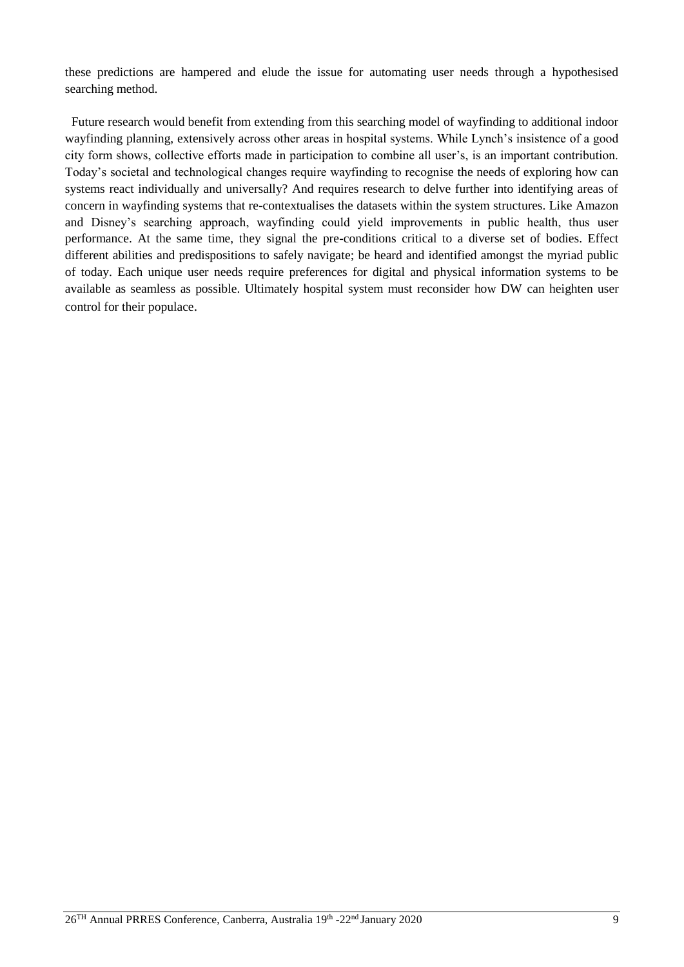these predictions are hampered and elude the issue for automating user needs through a hypothesised searching method.

 Future research would benefit from extending from this searching model of wayfinding to additional indoor wayfinding planning, extensively across other areas in hospital systems. While Lynch's insistence of a good city form shows, collective efforts made in participation to combine all user's, is an important contribution. Today's societal and technological changes require wayfinding to recognise the needs of exploring how can systems react individually and universally? And requires research to delve further into identifying areas of concern in wayfinding systems that re-contextualises the datasets within the system structures. Like Amazon and Disney's searching approach, wayfinding could yield improvements in public health, thus user performance. At the same time, they signal the pre-conditions critical to a diverse set of bodies. Effect different abilities and predispositions to safely navigate; be heard and identified amongst the myriad public of today. Each unique user needs require preferences for digital and physical information systems to be available as seamless as possible. Ultimately hospital system must reconsider how DW can heighten user control for their populace.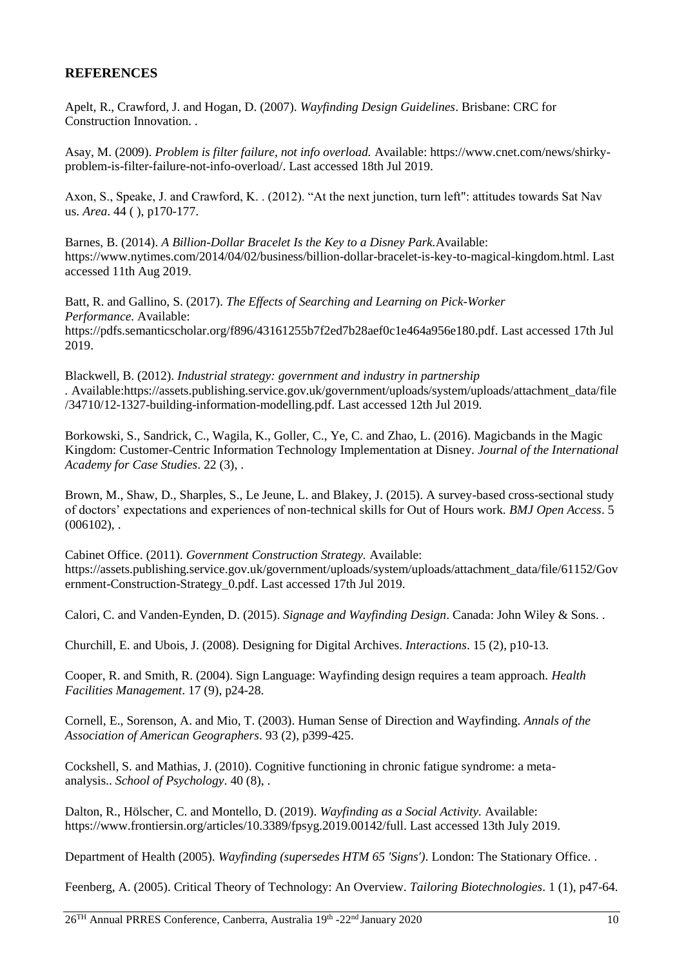## **REFERENCES**

Apelt, R., Crawford, J. and Hogan, D. (2007). *Wayfinding Design Guidelines*. Brisbane: CRC for Construction Innovation. .

Asay, M. (2009). *Problem is filter failure, not info overload.* Available: https://www.cnet.com/news/shirkyproblem-is-filter-failure-not-info-overload/. Last accessed 18th Jul 2019.

Axon, S., Speake, J. and Crawford, K. . (2012). "At the next junction, turn left": attitudes towards Sat Nav us. *Area*. 44 ( ), p170-177.

Barnes, B. (2014). *A Billion-Dollar Bracelet Is the Key to a Disney Park.*Available: https://www.nytimes.com/2014/04/02/business/billion-dollar-bracelet-is-key-to-magical-kingdom.html. Last accessed 11th Aug 2019.

Batt, R. and Gallino, S. (2017). *The Effects of Searching and Learning on Pick-Worker Performance.* Available: https://pdfs.semanticscholar.org/f896/43161255b7f2ed7b28aef0c1e464a956e180.pdf. Last accessed 17th Jul 2019.

Blackwell, B. (2012). *Industrial strategy: government and industry in partnership .* Available:https://assets.publishing.service.gov.uk/government/uploads/system/uploads/attachment\_data/file /34710/12-1327-building-information-modelling.pdf. Last accessed 12th Jul 2019.

Borkowski, S., Sandrick, C., Wagila, K., Goller, C., Ye, C. and Zhao, L. (2016). Magicbands in the Magic Kingdom: Customer-Centric Information Technology Implementation at Disney. *Journal of the International Academy for Case Studies*. 22 (3), .

Brown, M., Shaw, D., Sharples, S., Le Jeune, L. and Blakey, J. (2015). A survey-based cross-sectional study of doctors' expectations and experiences of non-technical skills for Out of Hours work. *BMJ Open Access*. 5  $(006102)$ , .

Cabinet Office. (2011). *Government Construction Strategy.* Available: https://assets.publishing.service.gov.uk/government/uploads/system/uploads/attachment\_data/file/61152/Gov ernment-Construction-Strategy\_0.pdf. Last accessed 17th Jul 2019.

Calori, C. and Vanden-Eynden, D. (2015). *Signage and Wayfinding Design*. Canada: John Wiley & Sons. .

Churchill, E. and Ubois, J. (2008). Designing for Digital Archives. *Interactions*. 15 (2), p10-13.

Cooper, R. and Smith, R. (2004). Sign Language: Wayfinding design requires a team approach. *Health Facilities Management*. 17 (9), p24-28.

Cornell, E., Sorenson, A. and Mio, T. (2003). Human Sense of Direction and Wayfinding. *Annals of the Association of American Geographers*. 93 (2), p399-425.

Cockshell, S. and Mathias, J. (2010). Cognitive functioning in chronic fatigue syndrome: a metaanalysis.. *School of Psychology*. 40 (8), .

Dalton, R., Hölscher, C. and Montello, D. (2019). *Wayfinding as a Social Activity.* Available: https://www.frontiersin.org/articles/10.3389/fpsyg.2019.00142/full. Last accessed 13th July 2019.

Department of Health (2005). *Wayfinding (supersedes HTM 65 'Signs')*. London: The Stationary Office. .

Feenberg, A. (2005). Critical Theory of Technology: An Overview. *Tailoring Biotechnologies*. 1 (1), p47-64.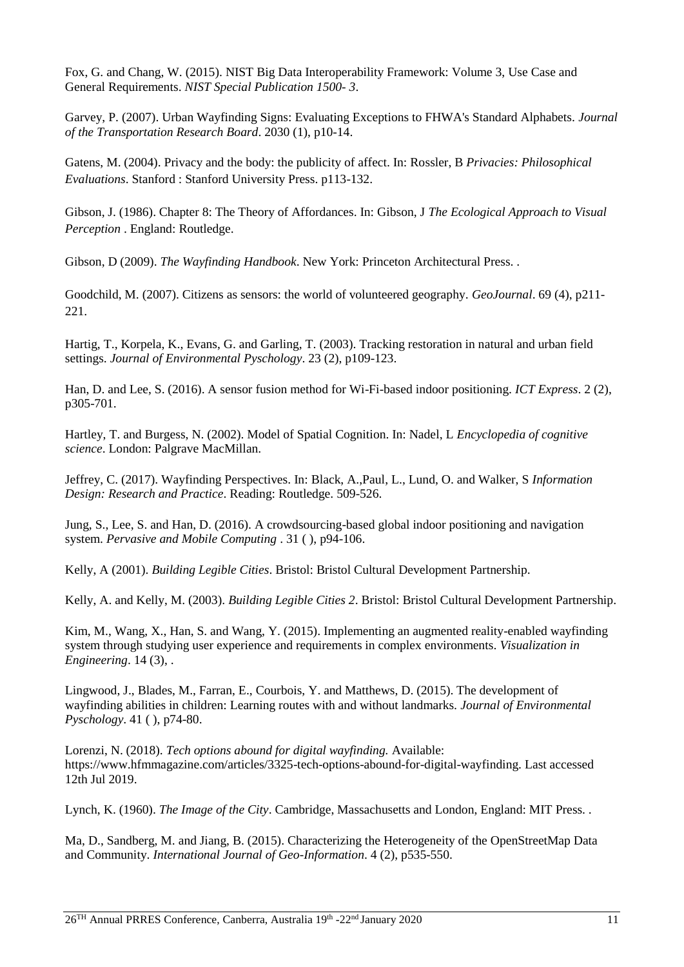Fox, G. and Chang, W. (2015). NIST Big Data Interoperability Framework: Volume 3, Use Case and General Requirements. *NIST Special Publication 1500- 3*.

Garvey, P. (2007). Urban Wayfinding Signs: Evaluating Exceptions to FHWA's Standard Alphabets. *Journal of the Transportation Research Board*. 2030 (1), p10-14.

Gatens, M. (2004). Privacy and the body: the publicity of affect. In: Rossler, B *Privacies: Philosophical Evaluations*. Stanford : Stanford University Press. p113-132.

Gibson, J. (1986). Chapter 8: The Theory of Affordances. In: Gibson, J *The Ecological Approach to Visual Perception* . England: Routledge.

Gibson, D (2009). *The Wayfinding Handbook*. New York: Princeton Architectural Press. .

Goodchild, M. (2007). Citizens as sensors: the world of volunteered geography. *GeoJournal*. 69 (4), p211- 221.

Hartig, T., Korpela, K., Evans, G. and Garling, T. (2003). Tracking restoration in natural and urban field settings. *Journal of Environmental Pyschology*. 23 (2), p109-123.

Han, D. and Lee, S. (2016). A sensor fusion method for Wi-Fi-based indoor positioning. *ICT Express*. 2 (2), p305-701.

Hartley, T. and Burgess, N. (2002). Model of Spatial Cognition. In: Nadel, L *Encyclopedia of cognitive science*. London: Palgrave MacMillan.

Jeffrey, C. (2017). Wayfinding Perspectives. In: Black, A.,Paul, L., Lund, O. and Walker, S *Information Design: Research and Practice*. Reading: Routledge. 509-526.

Jung, S., Lee, S. and Han, D. (2016). A crowdsourcing-based global indoor positioning and navigation system. *Pervasive and Mobile Computing* . 31 ( ), p94-106.

Kelly, A (2001). *Building Legible Cities*. Bristol: Bristol Cultural Development Partnership.

Kelly, A. and Kelly, M. (2003). *Building Legible Cities 2*. Bristol: Bristol Cultural Development Partnership.

Kim, M., Wang, X., Han, S. and Wang, Y. (2015). Implementing an augmented reality-enabled wayfinding system through studying user experience and requirements in complex environments. *Visualization in Engineering*. 14 (3), .

Lingwood, J., Blades, M., Farran, E., Courbois, Y. and Matthews, D. (2015). The development of wayfinding abilities in children: Learning routes with and without landmarks. *Journal of Environmental Pyschology*. 41 ( ), p74-80.

Lorenzi, N. (2018). *Tech options abound for digital wayfinding.* Available: https://www.hfmmagazine.com/articles/3325-tech-options-abound-for-digital-wayfinding. Last accessed 12th Jul 2019.

Lynch, K. (1960). *The Image of the City*. Cambridge, Massachusetts and London, England: MIT Press. .

Ma, D., Sandberg, M. and Jiang, B. (2015). Characterizing the Heterogeneity of the OpenStreetMap Data and Community. *International Journal of Geo-Information*. 4 (2), p535-550.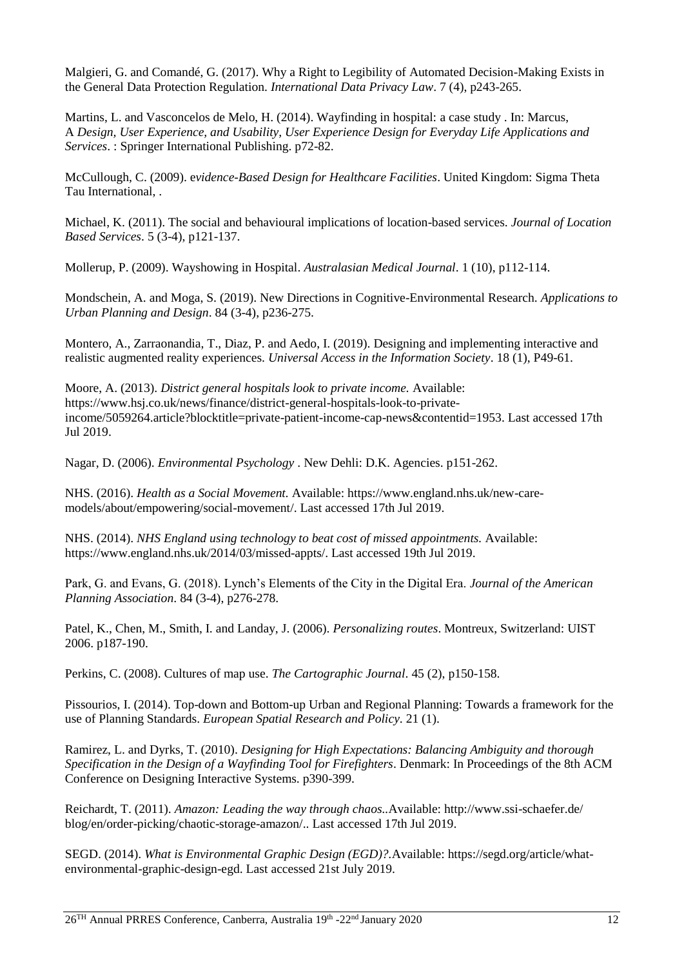Malgieri, G. and Comandé, G. (2017). Why a Right to Legibility of Automated Decision-Making Exists in the General Data Protection Regulation. *International Data Privacy Law*. 7 (4), p243-265.

Martins, L. and Vasconcelos de Melo, H. (2014). Wayfinding in hospital: a case study . In: Marcus, A *Design, User Experience, and Usability, User Experience Design for Everyday Life Applications and Services*. : Springer International Publishing. p72-82.

McCullough, C. (2009). e*vidence-Based Design for Healthcare Facilities*. United Kingdom: Sigma Theta Tau International, .

Michael, K. (2011). The social and behavioural implications of location-based services. *Journal of Location Based Services*. 5 (3-4), p121-137.

Mollerup, P. (2009). Wayshowing in Hospital. *Australasian Medical Journal*. 1 (10), p112-114.

Mondschein, A. and Moga, S. (2019). New Directions in Cognitive-Environmental Research. *Applications to Urban Planning and Design*. 84 (3-4), p236-275.

Montero, A., Zarraonandia, T., Diaz, P. and Aedo, I. (2019). Designing and implementing interactive and realistic augmented reality experiences. *Universal Access in the Information Society*. 18 (1), P49-61.

Moore, A. (2013). *District general hospitals look to private income.* Available: https://www.hsj.co.uk/news/finance/district-general-hospitals-look-to-privateincome/5059264.article?blocktitle=private-patient-income-cap-news&contentid=1953. Last accessed 17th Jul 2019.

Nagar, D. (2006). *Environmental Psychology* . New Dehli: D.K. Agencies. p151-262.

NHS. (2016). *Health as a Social Movement.* Available: https://www.england.nhs.uk/new-caremodels/about/empowering/social-movement/. Last accessed 17th Jul 2019.

NHS. (2014). *NHS England using technology to beat cost of missed appointments.* Available: https://www.england.nhs.uk/2014/03/missed-appts/. Last accessed 19th Jul 2019.

Park, G. and Evans, G. (2018). Lynch's Elements of the City in the Digital Era. *Journal of the American Planning Association*. 84 (3-4), p276-278.

Patel, K., Chen, M., Smith, I. and Landay, J. (2006). *Personalizing routes*. Montreux, Switzerland: UIST 2006. p187-190.

Perkins, C. (2008). Cultures of map use. *The Cartographic Journal*. 45 (2), p150-158.

Pissourios, I. (2014). Top-down and Bottom-up Urban and Regional Planning: Towards a framework for the use of Planning Standards. *European Spatial Research and Policy*. 21 (1).

Ramirez, L. and Dyrks, T. (2010). *Designing for High Expectations: Balancing Ambiguity and thorough Specification in the Design of a Wayfinding Tool for Firefighters*. Denmark: In Proceedings of the 8th ACM Conference on Designing Interactive Systems. p390-399.

Reichardt, T. (2011). *Amazon: Leading the way through chaos..*Available: http://www.ssi-schaefer.de/ blog/en/order-picking/chaotic-storage-amazon/.. Last accessed 17th Jul 2019.

SEGD. (2014). *What is Environmental Graphic Design (EGD)?.*Available: https://segd.org/article/whatenvironmental-graphic-design-egd. Last accessed 21st July 2019.